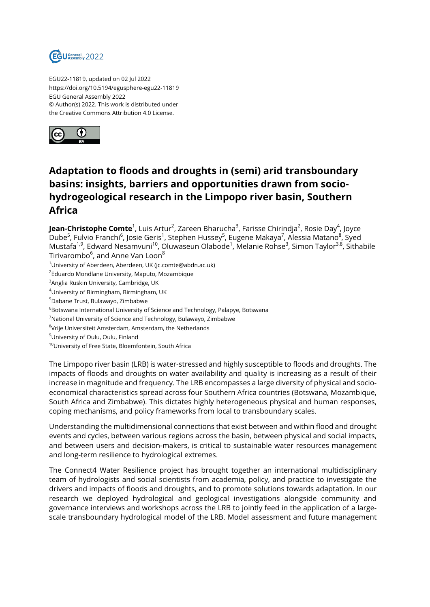

EGU22-11819, updated on 02 Jul 2022 https://doi.org/10.5194/egusphere-egu22-11819 EGU General Assembly 2022 © Author(s) 2022. This work is distributed under the Creative Commons Attribution 4.0 License.



## **Adaptation to floods and droughts in (semi) arid transboundary basins: insights, barriers and opportunities drawn from sociohydrogeological research in the Limpopo river basin, Southern Africa**

**Jean-Christophe Comte**<sup>1</sup>, Luis Artur<sup>2</sup>, Zareen Bharucha<sup>3</sup>, Farisse Chirindja<sup>2</sup>, Rosie Day<sup>4</sup>, Joyce Dube<sup>5</sup>, Fulvio Franchi<sup>6</sup>, Josie Geris<sup>1</sup>, Stephen Hussey<sup>5</sup>, Eugene Makaya<sup>7</sup>, Alessia Matano<sup>8</sup>, Syed Mustafa<sup>1,9</sup>, Edward Nesamvuni<sup>10</sup>, Oluwaseun Olabode<sup>1</sup>, Melanie Rohse<sup>3</sup>, Simon Taylor<sup>3,8</sup>, Sithabile Tirivarombo<sup>6</sup>, and Anne Van Loon<sup>8</sup>

- <sup>1</sup>University of Aberdeen, Aberdeen, UK (jc.comte@abdn.ac.uk)
- $^2$ Eduardo Mondlane University, Maputo, Mozambique
- <sup>3</sup>Anglia Ruskin University, Cambridge, UK
- <sup>4</sup>University of Birmingham, Birmingham, UK
- <sup>5</sup>Dabane Trust, Bulawayo, Zimbabwe
- <sup>6</sup>Botswana International University of Science and Technology, Palapye, Botswana
- <sup>7</sup>National University of Science and Technology, Bulawayo, Zimbabwe
- $^8$ Vrije Universiteit Amsterdam, Amsterdam, the Netherlands
- <sup>9</sup>University of Oulu, Oulu, Finland
- <sup>10</sup>University of Free State, Bloemfontein, South Africa

The Limpopo river basin (LRB) is water-stressed and highly susceptible to floods and droughts. The impacts of floods and droughts on water availability and quality is increasing as a result of their increase in magnitude and frequency. The LRB encompasses a large diversity of physical and socioeconomical characteristics spread across four Southern Africa countries (Botswana, Mozambique, South Africa and Zimbabwe). This dictates highly heterogeneous physical and human responses, coping mechanisms, and policy frameworks from local to transboundary scales.

Understanding the multidimensional connections that exist between and within flood and drought events and cycles, between various regions across the basin, between physical and social impacts, and between users and decision-makers, is critical to sustainable water resources management and long-term resilience to hydrological extremes.

The Connect4 Water Resilience project has brought together an international multidisciplinary team of hydrologists and social scientists from academia, policy, and practice to investigate the drivers and impacts of floods and droughts, and to promote solutions towards adaptation. In our research we deployed hydrological and geological investigations alongside community and governance interviews and workshops across the LRB to jointly feed in the application of a largescale transboundary hydrological model of the LRB. Model assessment and future management